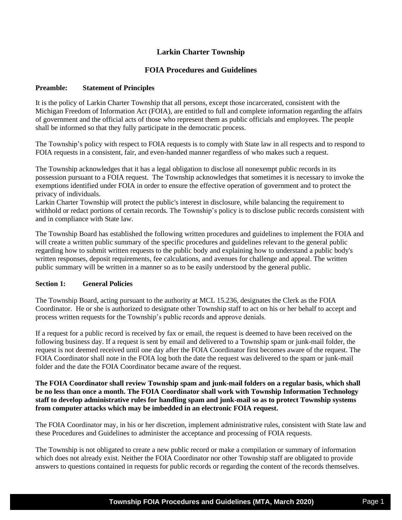# **Larkin Charter Township**

## **FOIA Procedures and Guidelines**

### **Preamble: Statement of Principles**

It is the policy of Larkin Charter Township that all persons, except those incarcerated, consistent with the Michigan Freedom of Information Act (FOIA), are entitled to full and complete information regarding the affairs of government and the official acts of those who represent them as public officials and employees. The people shall be informed so that they fully participate in the democratic process.

The Township's policy with respect to FOIA requests is to comply with State law in all respects and to respond to FOIA requests in a consistent, fair, and even-handed manner regardless of who makes such a request.

The Township acknowledges that it has a legal obligation to disclose all nonexempt public records in its possession pursuant to a FOIA request. The Township acknowledges that sometimes it is necessary to invoke the exemptions identified under FOIA in order to ensure the effective operation of government and to protect the privacy of individuals.

Larkin Charter Township will protect the public's interest in disclosure, while balancing the requirement to withhold or redact portions of certain records. The Township's policy is to disclose public records consistent with and in compliance with State law.

The Township Board has established the following written procedures and guidelines to implement the FOIA and will create a written public summary of the specific procedures and guidelines relevant to the general public regarding how to submit written requests to the public body and explaining how to understand a public body's written responses, deposit requirements, fee calculations, and avenues for challenge and appeal. The written public summary will be written in a manner so as to be easily understood by the general public.

## **Section 1: General Policies**

The Township Board, acting pursuant to the authority at MCL 15.236, designates the Clerk as the FOIA Coordinator. He or she is authorized to designate other Township staff to act on his or her behalf to accept and process written requests for the Township's public records and approve denials.

If a request for a public record is received by fax or email, the request is deemed to have been received on the following business day. If a request is sent by email and delivered to a Township spam or junk-mail folder, the request is not deemed received until one day after the FOIA Coordinator first becomes aware of the request. The FOIA Coordinator shall note in the FOIA log both the date the request was delivered to the spam or junk-mail folder and the date the FOIA Coordinator became aware of the request.

### **The FOIA Coordinator shall review Township spam and junk-mail folders on a regular basis, which shall be no less than once a month. The FOIA Coordinator shall work with Township Information Technology staff to develop administrative rules for handling spam and junk-mail so as to protect Township systems from computer attacks which may be imbedded in an electronic FOIA request.**

The FOIA Coordinator may, in his or her discretion, implement administrative rules, consistent with State law and these Procedures and Guidelines to administer the acceptance and processing of FOIA requests.

The Township is not obligated to create a new public record or make a compilation or summary of information which does not already exist. Neither the FOIA Coordinator nor other Township staff are obligated to provide answers to questions contained in requests for public records or regarding the content of the records themselves.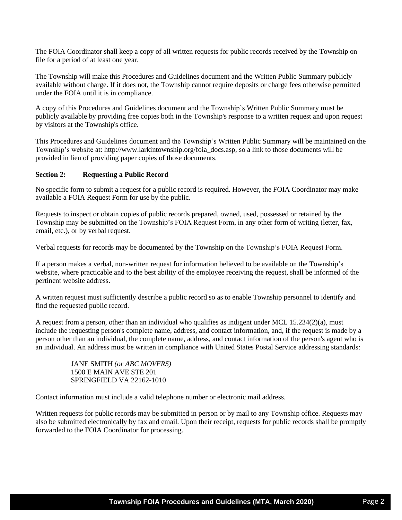The FOIA Coordinator shall keep a copy of all written requests for public records received by the Township on file for a period of at least one year.

The Township will make this Procedures and Guidelines document and the Written Public Summary publicly available without charge. If it does not, the Township cannot require deposits or charge fees otherwise permitted under the FOIA until it is in compliance.

A copy of this Procedures and Guidelines document and the Township's Written Public Summary must be publicly available by providing free copies both in the Township's response to a written request and upon request by visitors at the Township's office.

This Procedures and Guidelines document and the Township's Written Public Summary will be maintained on the Township's website at: http://www.larkintownship.org/foia\_docs.asp, so a link to those documents will be provided in lieu of providing paper copies of those documents.

#### **Section 2: Requesting a Public Record**

No specific form to submit a request for a public record is required. However, the FOIA Coordinator may make available a FOIA Request Form for use by the public.

Requests to inspect or obtain copies of public records prepared, owned, used, possessed or retained by the Township may be submitted on the Township's FOIA Request Form, in any other form of writing (letter, fax, email, etc.), or by verbal request.

Verbal requests for records may be documented by the Township on the Township's FOIA Request Form.

If a person makes a verbal, non-written request for information believed to be available on the Township's website, where practicable and to the best ability of the employee receiving the request, shall be informed of the pertinent website address.

A written request must sufficiently describe a public record so as to enable Township personnel to identify and find the requested public record.

A request from a person, other than an individual who qualifies as indigent under MCL 15.234(2)(a), must include the requesting person's complete name, address, and contact information, and, if the request is made by a person other than an individual, the complete name, address, and contact information of the person's agent who is an individual. An address must be written in compliance with United States Postal Service addressing standards:

> JANE SMITH *(or ABC MOVERS)* 1500 E MAIN AVE STE 201 SPRINGFIELD VA 22162-1010

Contact information must include a valid telephone number or electronic mail address.

Written requests for public records may be submitted in person or by mail to any Township office. Requests may also be submitted electronically by fax and email. Upon their receipt, requests for public records shall be promptly forwarded to the FOIA Coordinator for processing.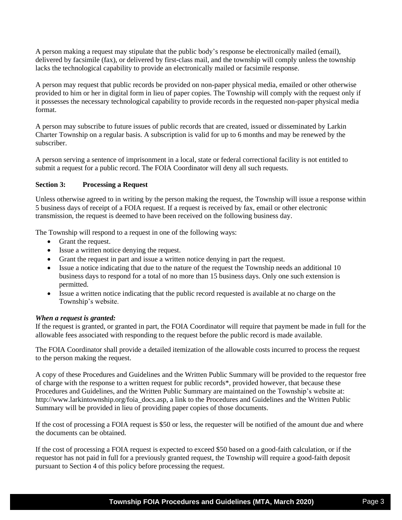A person making a request may stipulate that the public body's response be electronically mailed (email), delivered by facsimile (fax), or delivered by first-class mail, and the township will comply unless the township lacks the technological capability to provide an electronically mailed or facsimile response.

A person may request that public records be provided on non-paper physical media, emailed or other otherwise provided to him or her in digital form in lieu of paper copies. The Township will comply with the request only if it possesses the necessary technological capability to provide records in the requested non-paper physical media format.

A person may subscribe to future issues of public records that are created, issued or disseminated by Larkin Charter Township on a regular basis. A subscription is valid for up to 6 months and may be renewed by the subscriber.

A person serving a sentence of imprisonment in a local, state or federal correctional facility is not entitled to submit a request for a public record. The FOIA Coordinator will deny all such requests.

## **Section 3: Processing a Request**

Unless otherwise agreed to in writing by the person making the request, the Township will issue a response within 5 business days of receipt of a FOIA request. If a request is received by fax, email or other electronic transmission, the request is deemed to have been received on the following business day.

The Township will respond to a request in one of the following ways:

- Grant the request.
- Issue a written notice denying the request.
- Grant the request in part and issue a written notice denying in part the request.
- Issue a notice indicating that due to the nature of the request the Township needs an additional 10 business days to respond for a total of no more than 15 business days. Only one such extension is permitted.
- Issue a written notice indicating that the public record requested is available at no charge on the Township's website.

### *When a request is granted:*

If the request is granted, or granted in part, the FOIA Coordinator will require that payment be made in full for the allowable fees associated with responding to the request before the public record is made available.

The FOIA Coordinator shall provide a detailed itemization of the allowable costs incurred to process the request to the person making the request.

A copy of these Procedures and Guidelines and the Written Public Summary will be provided to the requestor free of charge with the response to a written request for public records\*, provided however, that because these Procedures and Guidelines, and the Written Public Summary are maintained on the Township's website at: http://www.larkintownship.org/foia\_docs.asp, a link to the Procedures and Guidelines and the Written Public Summary will be provided in lieu of providing paper copies of those documents.

If the cost of processing a FOIA request is \$50 or less, the requester will be notified of the amount due and where the documents can be obtained.

If the cost of processing a FOIA request is expected to exceed \$50 based on a good-faith calculation, or if the requestor has not paid in full for a previously granted request, the Township will require a good-faith deposit pursuant to Section 4 of this policy before processing the request.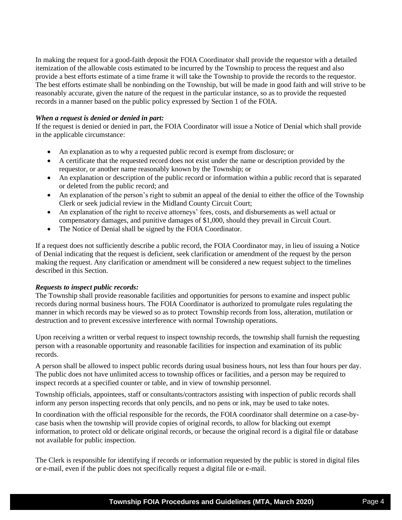In making the request for a good-faith deposit the FOIA Coordinator shall provide the requestor with a detailed itemization of the allowable costs estimated to be incurred by the Township to process the request and also provide a best efforts estimate of a time frame it will take the Township to provide the records to the requestor. The best efforts estimate shall be nonbinding on the Township, but will be made in good faith and will strive to be reasonably accurate, given the nature of the request in the particular instance, so as to provide the requested records in a manner based on the public policy expressed by Section 1 of the FOIA.

### *When a request is denied or denied in part:*

If the request is denied or denied in part, the FOIA Coordinator will issue a Notice of Denial which shall provide in the applicable circumstance:

- An explanation as to why a requested public record is exempt from disclosure; or
- A certificate that the requested record does not exist under the name or description provided by the requestor, or another name reasonably known by the Township; or
- An explanation or description of the public record or information within a public record that is separated or deleted from the public record; and
- An explanation of the person's right to submit an appeal of the denial to either the office of the Township Clerk or seek judicial review in the Midland County Circuit Court;
- An explanation of the right to receive attorneys' fees, costs, and disbursements as well actual or compensatory damages, and punitive damages of \$1,000, should they prevail in Circuit Court.
- The Notice of Denial shall be signed by the FOIA Coordinator.

If a request does not sufficiently describe a public record, the FOIA Coordinator may, in lieu of issuing a Notice of Denial indicating that the request is deficient, seek clarification or amendment of the request by the person making the request. Any clarification or amendment will be considered a new request subject to the timelines described in this Section.

### *Requests to inspect public records:*

The Township shall provide reasonable facilities and opportunities for persons to examine and inspect public records during normal business hours. The FOIA Coordinator is authorized to promulgate rules regulating the manner in which records may be viewed so as to protect Township records from loss, alteration, mutilation or destruction and to prevent excessive interference with normal Township operations.

Upon receiving a written or verbal request to inspect township records, the township shall furnish the requesting person with a reasonable opportunity and reasonable facilities for inspection and examination of its public records.

A person shall be allowed to inspect public records during usual business hours, not less than four hours per day. The public does not have unlimited access to township offices or facilities, and a person may be required to inspect records at a specified counter or table, and in view of township personnel.

Township officials, appointees, staff or consultants/contractors assisting with inspection of public records shall inform any person inspecting records that only pencils, and no pens or ink, may be used to take notes.

In coordination with the official responsible for the records, the FOIA coordinator shall determine on a case-bycase basis when the township will provide copies of original records, to allow for blacking out exempt information, to protect old or delicate original records, or because the original record is a digital file or database not available for public inspection.

The Clerk is responsible for identifying if records or information requested by the public is stored in digital files or e-mail, even if the public does not specifically request a digital file or e-mail.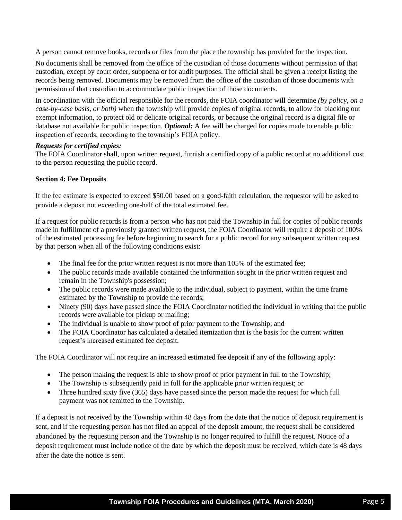A person cannot remove books, records or files from the place the township has provided for the inspection.

No documents shall be removed from the office of the custodian of those documents without permission of that custodian, except by court order, subpoena or for audit purposes. The official shall be given a receipt listing the records being removed. Documents may be removed from the office of the custodian of those documents with permission of that custodian to accommodate public inspection of those documents.

In coordination with the official responsible for the records, the FOIA coordinator will determine *(by policy, on a case-by-case basis, or both)* when the township will provide copies of original records, to allow for blacking out exempt information, to protect old or delicate original records, or because the original record is a digital file or database not available for public inspection. *Optional:* A fee will be charged for copies made to enable public inspection of records, according to the township's FOIA policy.

#### *Requests for certified copies:*

The FOIA Coordinator shall, upon written request, furnish a certified copy of a public record at no additional cost to the person requesting the public record.

#### **Section 4: Fee Deposits**

If the fee estimate is expected to exceed \$50.00 based on a good-faith calculation, the requestor will be asked to provide a deposit not exceeding one-half of the total estimated fee.

If a request for public records is from a person who has not paid the Township in full for copies of public records made in fulfillment of a previously granted written request, the FOIA Coordinator will require a deposit of 100% of the estimated processing fee before beginning to search for a public record for any subsequent written request by that person when all of the following conditions exist:

- The final fee for the prior written request is not more than 105% of the estimated fee;
- The public records made available contained the information sought in the prior written request and remain in the Township's possession;
- The public records were made available to the individual, subject to payment, within the time frame estimated by the Township to provide the records;
- Ninety (90) days have passed since the FOIA Coordinator notified the individual in writing that the public records were available for pickup or mailing;
- The individual is unable to show proof of prior payment to the Township; and
- The FOIA Coordinator has calculated a detailed itemization that is the basis for the current written request's increased estimated fee deposit.

The FOIA Coordinator will not require an increased estimated fee deposit if any of the following apply:

- The person making the request is able to show proof of prior payment in full to the Township;
- The Township is subsequently paid in full for the applicable prior written request; or
- Three hundred sixty five (365) days have passed since the person made the request for which full payment was not remitted to the Township.

If a deposit is not received by the Township within 48 days from the date that the notice of deposit requirement is sent, and if the requesting person has not filed an appeal of the deposit amount, the request shall be considered abandoned by the requesting person and the Township is no longer required to fulfill the request. Notice of a deposit requirement must include notice of the date by which the deposit must be received, which date is 48 days after the date the notice is sent.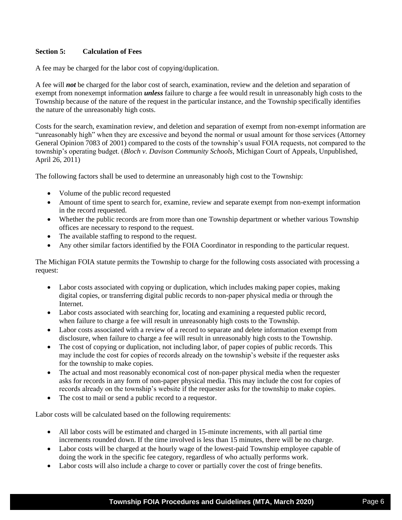### **Section 5: Calculation of Fees**

A fee may be charged for the labor cost of copying/duplication.

A fee will *not* be charged for the labor cost of search, examination, review and the deletion and separation of exempt from nonexempt information *unless* failure to charge a fee would result in unreasonably high costs to the Township because of the nature of the request in the particular instance, and the Township specifically identifies the nature of the unreasonably high costs.

Costs for the search, examination review, and deletion and separation of exempt from non-exempt information are "unreasonably high" when they are excessive and beyond the normal or usual amount for those services (Attorney General Opinion 7083 of 2001) compared to the costs of the township's usual FOIA requests, not compared to the township's operating budget. (*Bloch v. Davison Community Schools*, Michigan Court of Appeals, Unpublished, April 26, 2011)

The following factors shall be used to determine an unreasonably high cost to the Township:

- Volume of the public record requested
- Amount of time spent to search for, examine, review and separate exempt from non-exempt information in the record requested.
- Whether the public records are from more than one Township department or whether various Township offices are necessary to respond to the request.
- The available staffing to respond to the request.
- Any other similar factors identified by the FOIA Coordinator in responding to the particular request.

The Michigan FOIA statute permits the Township to charge for the following costs associated with processing a request:

- Labor costs associated with copying or duplication, which includes making paper copies, making digital copies, or transferring digital public records to non-paper physical media or through the Internet.
- Labor costs associated with searching for, locating and examining a requested public record, when failure to charge a fee will result in unreasonably high costs to the Township.
- Labor costs associated with a review of a record to separate and delete information exempt from disclosure, when failure to charge a fee will result in unreasonably high costs to the Township.
- The cost of copying or duplication, not including labor, of paper copies of public records. This may include the cost for copies of records already on the township's website if the requester asks for the township to make copies.
- The actual and most reasonably economical cost of non-paper physical media when the requester asks for records in any form of non-paper physical media. This may include the cost for copies of records already on the township's website if the requester asks for the township to make copies.
- The cost to mail or send a public record to a requestor.

Labor costs will be calculated based on the following requirements:

- All labor costs will be estimated and charged in 15-minute increments, with all partial time increments rounded down. If the time involved is less than 15 minutes, there will be no charge.
- Labor costs will be charged at the hourly wage of the lowest-paid Township employee capable of doing the work in the specific fee category, regardless of who actually performs work.
- Labor costs will also include a charge to cover or partially cover the cost of fringe benefits.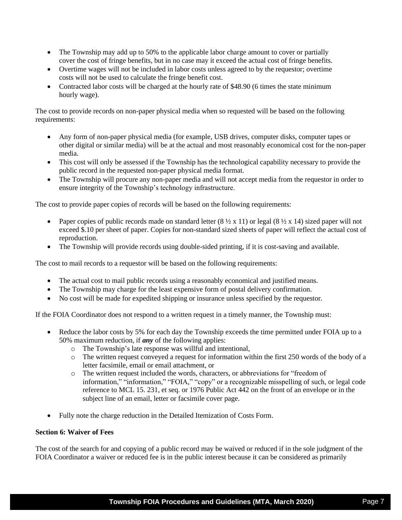- The Township may add up to 50% to the applicable labor charge amount to cover or partially cover the cost of fringe benefits, but in no case may it exceed the actual cost of fringe benefits.
- Overtime wages will not be included in labor costs unless agreed to by the requestor; overtime costs will not be used to calculate the fringe benefit cost.
- Contracted labor costs will be charged at the hourly rate of \$48.90 (6 times the state minimum hourly wage).

The cost to provide records on non-paper physical media when so requested will be based on the following requirements:

- Any form of non-paper physical media (for example, USB drives, computer disks, computer tapes or other digital or similar media) will be at the actual and most reasonably economical cost for the non-paper media.
- This cost will only be assessed if the Township has the technological capability necessary to provide the public record in the requested non-paper physical media format.
- The Township will procure any non-paper media and will not accept media from the requestor in order to ensure integrity of the Township's technology infrastructure.

The cost to provide paper copies of records will be based on the following requirements:

- Paper copies of public records made on standard letter  $(8 \frac{1}{2} \times 11)$  or legal  $(8 \frac{1}{2} \times 14)$  sized paper will not exceed \$.10 per sheet of paper. Copies for non-standard sized sheets of paper will reflect the actual cost of reproduction.
- The Township will provide records using double-sided printing, if it is cost-saving and available.

The cost to mail records to a requestor will be based on the following requirements:

- The actual cost to mail public records using a reasonably economical and justified means.
- The Township may charge for the least expensive form of postal delivery confirmation.
- No cost will be made for expedited shipping or insurance unless specified by the requestor.

If the FOIA Coordinator does not respond to a written request in a timely manner, the Township must:

- Reduce the labor costs by 5% for each day the Township exceeds the time permitted under FOIA up to a 50% maximum reduction, if *any* of the following applies:
	- o The Township's late response was willful and intentional,
	- o The written request conveyed a request for information within the first 250 words of the body of a letter facsimile, email or email attachment, or
	- o The written request included the words, characters, or abbreviations for "freedom of information," "information," "FOIA," "copy" or a recognizable misspelling of such, or legal code reference to MCL 15. 231, et seq. or 1976 Public Act 442 on the front of an envelope or in the subject line of an email, letter or facsimile cover page.
- Fully note the charge reduction in the Detailed Itemization of Costs Form.

### **Section 6: Waiver of Fees**

The cost of the search for and copying of a public record may be waived or reduced if in the sole judgment of the FOIA Coordinator a waiver or reduced fee is in the public interest because it can be considered as primarily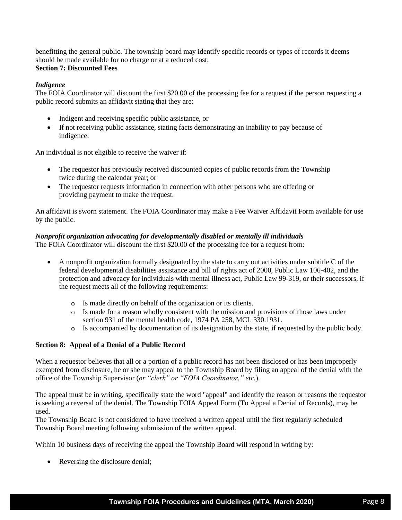benefitting the general public. The township board may identify specific records or types of records it deems should be made available for no charge or at a reduced cost. **Section 7: Discounted Fees**

### *Indigence*

The FOIA Coordinator will discount the first \$20.00 of the processing fee for a request if the person requesting a public record submits an affidavit stating that they are:

- Indigent and receiving specific public assistance, or
- If not receiving public assistance, stating facts demonstrating an inability to pay because of indigence.

An individual is not eligible to receive the waiver if:

- The requestor has previously received discounted copies of public records from the Township twice during the calendar year; or
- The requestor requests information in connection with other persons who are offering or providing payment to make the request.

An affidavit is sworn statement. The FOIA Coordinator may make a Fee Waiver Affidavit Form available for use by the public.

#### *Nonprofit organization advocating for developmentally disabled or mentally ill individuals*

The FOIA Coordinator will discount the first \$20.00 of the processing fee for a request from:

- A nonprofit organization formally designated by the state to carry out activities under subtitle C of the federal developmental disabilities assistance and bill of rights act of 2000, Public Law 106-402, and the protection and advocacy for individuals with mental illness act, Public Law 99-319, or their successors, if the request meets all of the following requirements:
	- o Is made directly on behalf of the organization or its clients.
	- o Is made for a reason wholly consistent with the mission and provisions of those laws under section 931 of the mental health code, 1974 PA 258, MCL 330.1931.
	- o Is accompanied by documentation of its designation by the state, if requested by the public body.

### **Section 8: Appeal of a Denial of a Public Record**

When a requestor believes that all or a portion of a public record has not been disclosed or has been improperly exempted from disclosure, he or she may appeal to the Township Board by filing an appeal of the denial with the office of the Township Supervisor (*or "clerk" or "FOIA Coordinator," etc.*).

The appeal must be in writing, specifically state the word "appeal" and identify the reason or reasons the requestor is seeking a reversal of the denial. The Township FOIA Appeal Form (To Appeal a Denial of Records), may be used.

The Township Board is not considered to have received a written appeal until the first regularly scheduled Township Board meeting following submission of the written appeal.

Within 10 business days of receiving the appeal the Township Board will respond in writing by:

• Reversing the disclosure denial;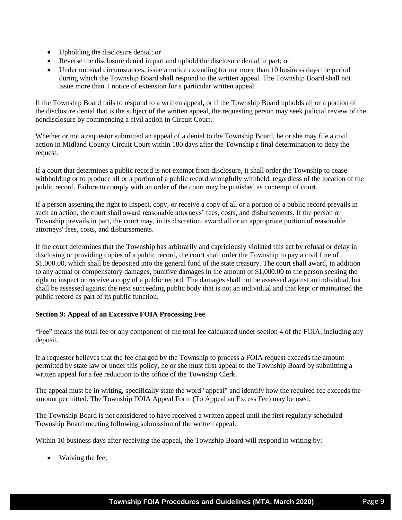- Upholding the disclosure denial; or
- Reverse the disclosure denial in part and uphold the disclosure denial in part; or
- Under unusual circumstances, issue a notice extending for not more than 10 business days the period during which the Township Board shall respond to the written appeal. The Township Board shall not issue more than 1 notice of extension for a particular written appeal.

If the Township Board fails to respond to a written appeal, or if the Township Board upholds all or a portion of the disclosure denial that is the subject of the written appeal, the requesting person may seek judicial review of the nondisclosure by commencing a civil action in Circuit Court.

Whether or not a requestor submitted an appeal of a denial to the Township Board, he or she may file a civil action in Midland County Circuit Court within 180 days after the Township's final determination to deny the request.

If a court that determines a public record is not exempt from disclosure, it shall order the Township to cease withholding or to produce all or a portion of a public record wrongfully withheld, regardless of the location of the public record. Failure to comply with an order of the court may be punished as contempt of court.

If a person asserting the right to inspect, copy, or receive a copy of all or a portion of a public record prevails in such an action, the court shall award reasonable attorneys' fees, costs, and disbursements. If the person or Township prevails in part, the court may, in its discretion, award all or an appropriate portion of reasonable attorneys' fees, costs, and disbursements.

If the court determines that the Township has arbitrarily and capriciously violated this act by refusal or delay in disclosing or providing copies of a public record, the court shall order the Township to pay a civil fine of \$1,000.00, which shall be deposited into the general fund of the state treasury. The court shall award, in addition to any actual or compensatory damages, punitive damages in the amount of \$1,000.00 to the person seeking the right to inspect or receive a copy of a public record. The damages shall not be assessed against an individual, but shall be assessed against the next succeeding public body that is not an individual and that kept or maintained the public record as part of its public function.

### **Section 9: Appeal of an Excessive FOIA Processing Fee**

"Fee" means the total fee or any component of the total fee calculated under section 4 of the FOIA, including any deposit.

If a requestor believes that the fee charged by the Township to process a FOIA request exceeds the amount permitted by state law or under this policy, he or she must first appeal to the Township Board by submitting a written appeal for a fee reduction to the office of the Township Clerk.

The appeal must be in writing, specifically state the word "appeal" and identify how the required fee exceeds the amount permitted. The Township FOIA Appeal Form (To Appeal an Excess Fee) may be used.

The Township Board is not considered to have received a written appeal until the first regularly scheduled Township Board meeting following submission of the written appeal.

Within 10 business days after receiving the appeal, the Township Board will respond in writing by:

• Waiving the fee: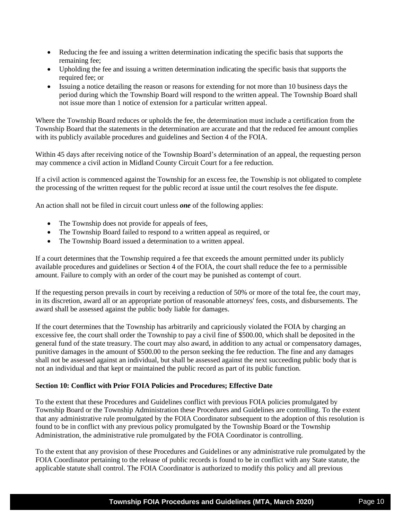- Reducing the fee and issuing a written determination indicating the specific basis that supports the remaining fee;
- Upholding the fee and issuing a written determination indicating the specific basis that supports the required fee; or
- Issuing a notice detailing the reason or reasons for extending for not more than 10 business days the period during which the Township Board will respond to the written appeal. The Township Board shall not issue more than 1 notice of extension for a particular written appeal.

Where the Township Board reduces or upholds the fee, the determination must include a certification from the Township Board that the statements in the determination are accurate and that the reduced fee amount complies with its publicly available procedures and guidelines and Section 4 of the FOIA.

Within 45 days after receiving notice of the Township Board's determination of an appeal, the requesting person may commence a civil action in Midland County Circuit Court for a fee reduction.

If a civil action is commenced against the Township for an excess fee, the Township is not obligated to complete the processing of the written request for the public record at issue until the court resolves the fee dispute.

An action shall not be filed in circuit court unless *one* of the following applies:

- The Township does not provide for appeals of fees,
- The Township Board failed to respond to a written appeal as required, or
- The Township Board issued a determination to a written appeal.

If a court determines that the Township required a fee that exceeds the amount permitted under its publicly available procedures and guidelines or Section 4 of the FOIA, the court shall reduce the fee to a permissible amount. Failure to comply with an order of the court may be punished as contempt of court.

If the requesting person prevails in court by receiving a reduction of 50% or more of the total fee, the court may, in its discretion, award all or an appropriate portion of reasonable attorneys' fees, costs, and disbursements. The award shall be assessed against the public body liable for damages.

If the court determines that the Township has arbitrarily and capriciously violated the FOIA by charging an excessive fee, the court shall order the Township to pay a civil fine of \$500.00, which shall be deposited in the general fund of the state treasury. The court may also award, in addition to any actual or compensatory damages, punitive damages in the amount of \$500.00 to the person seeking the fee reduction. The fine and any damages shall not be assessed against an individual, but shall be assessed against the next succeeding public body that is not an individual and that kept or maintained the public record as part of its public function.

#### **Section 10: Conflict with Prior FOIA Policies and Procedures; Effective Date**

To the extent that these Procedures and Guidelines conflict with previous FOIA policies promulgated by Township Board or the Township Administration these Procedures and Guidelines are controlling. To the extent that any administrative rule promulgated by the FOIA Coordinator subsequent to the adoption of this resolution is found to be in conflict with any previous policy promulgated by the Township Board or the Township Administration, the administrative rule promulgated by the FOIA Coordinator is controlling.

To the extent that any provision of these Procedures and Guidelines or any administrative rule promulgated by the FOIA Coordinator pertaining to the release of public records is found to be in conflict with any State statute, the applicable statute shall control. The FOIA Coordinator is authorized to modify this policy and all previous